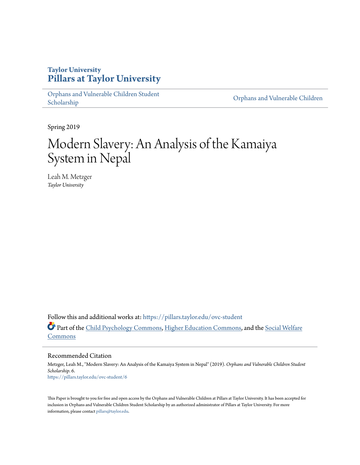# **Taylor University [Pillars at Taylor University](https://pillars.taylor.edu/?utm_source=pillars.taylor.edu%2Fovc-student%2F6&utm_medium=PDF&utm_campaign=PDFCoverPages)**

[Orphans and Vulnerable Children Student](https://pillars.taylor.edu/ovc-student?utm_source=pillars.taylor.edu%2Fovc-student%2F6&utm_medium=PDF&utm_campaign=PDFCoverPages) [Scholarship](https://pillars.taylor.edu/ovc-student?utm_source=pillars.taylor.edu%2Fovc-student%2F6&utm_medium=PDF&utm_campaign=PDFCoverPages) Children Scholarship Children Scholarship Children Scholarship Children Scholarship

Spring 2019

# Modern Slavery: An Analysis of the Kamaiya System in Nepal

Leah M. Metzger *Taylor University*

Follow this and additional works at: [https://pillars.taylor.edu/ovc-student](https://pillars.taylor.edu/ovc-student?utm_source=pillars.taylor.edu%2Fovc-student%2F6&utm_medium=PDF&utm_campaign=PDFCoverPages) Part of the [Child Psychology Commons](http://network.bepress.com/hgg/discipline/1023?utm_source=pillars.taylor.edu%2Fovc-student%2F6&utm_medium=PDF&utm_campaign=PDFCoverPages), [Higher Education Commons](http://network.bepress.com/hgg/discipline/1245?utm_source=pillars.taylor.edu%2Fovc-student%2F6&utm_medium=PDF&utm_campaign=PDFCoverPages), and the [Social Welfare](http://network.bepress.com/hgg/discipline/401?utm_source=pillars.taylor.edu%2Fovc-student%2F6&utm_medium=PDF&utm_campaign=PDFCoverPages) [Commons](http://network.bepress.com/hgg/discipline/401?utm_source=pillars.taylor.edu%2Fovc-student%2F6&utm_medium=PDF&utm_campaign=PDFCoverPages)

Recommended Citation

Metzger, Leah M., "Modern Slavery: An Analysis of the Kamaiya System in Nepal" (2019). *Orphans and Vulnerable Children Student Scholarship*. 6. [https://pillars.taylor.edu/ovc-student/6](https://pillars.taylor.edu/ovc-student/6?utm_source=pillars.taylor.edu%2Fovc-student%2F6&utm_medium=PDF&utm_campaign=PDFCoverPages)

This Paper is brought to you for free and open access by the Orphans and Vulnerable Children at Pillars at Taylor University. It has been accepted for inclusion in Orphans and Vulnerable Children Student Scholarship by an authorized administrator of Pillars at Taylor University. For more information, please contact [pillars@taylor.edu](mailto:pillars@taylor.edu).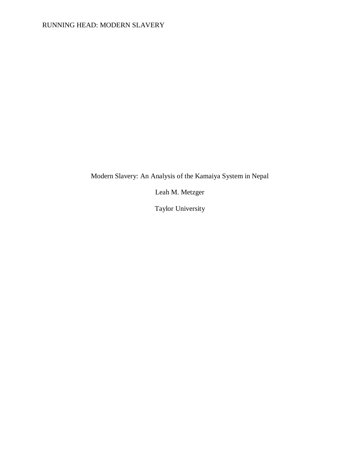Modern Slavery: An Analysis of the Kamaiya System in Nepal

Leah M. Metzger

Taylor University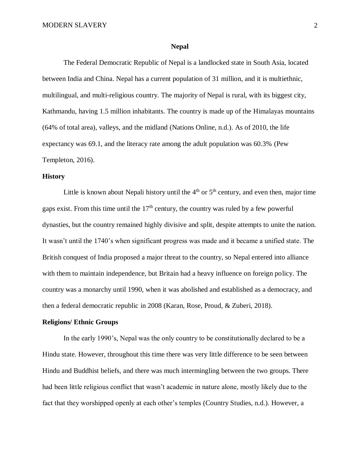#### **Nepal**

The Federal Democratic Republic of Nepal is a landlocked state in South Asia, located between India and China. Nepal has a current population of 31 million, and it is multiethnic, multilingual, and multi-religious country. The majority of Nepal is rural, with its biggest city, Kathmandu, having 1.5 million inhabitants. The country is made up of the Himalayas mountains (64% of total area), valleys, and the midland (Nations Online, n.d.). As of 2010, the life expectancy was 69.1, and the literacy rate among the adult population was 60.3% (Pew Templeton, 2016).

### **History**

Little is known about Nepali history until the  $4<sup>th</sup>$  or  $5<sup>th</sup>$  century, and even then, major time gaps exist. From this time until the  $17<sup>th</sup>$  century, the country was ruled by a few powerful dynasties, but the country remained highly divisive and split, despite attempts to unite the nation. It wasn't until the 1740's when significant progress was made and it became a unified state. The British conquest of India proposed a major threat to the country, so Nepal entered into alliance with them to maintain independence, but Britain had a heavy influence on foreign policy. The country was a monarchy until 1990, when it was abolished and established as a democracy, and then a federal democratic republic in 2008 (Karan, Rose, Proud, & Zuberi, 2018).

### **Religions/ Ethnic Groups**

In the early 1990's, Nepal was the only country to be constitutionally declared to be a Hindu state. However, throughout this time there was very little difference to be seen between Hindu and Buddhist beliefs, and there was much intermingling between the two groups. There had been little religious conflict that wasn't academic in nature alone, mostly likely due to the fact that they worshipped openly at each other's temples (Country Studies, n.d.). However, a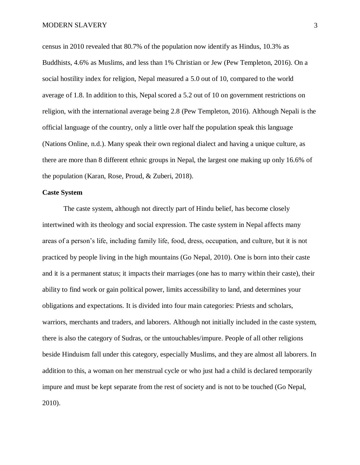census in 2010 revealed that 80.7% of the population now identify as Hindus, 10.3% as Buddhists, 4.6% as Muslims, and less than 1% Christian or Jew (Pew Templeton, 2016). On a social hostility index for religion, Nepal measured a 5.0 out of 10, compared to the world average of 1.8. In addition to this, Nepal scored a 5.2 out of 10 on government restrictions on religion, with the international average being 2.8 (Pew Templeton, 2016). Although Nepali is the official language of the country, only a little over half the population speak this language (Nations Online, n.d.). Many speak their own regional dialect and having a unique culture, as there are more than 8 different ethnic groups in Nepal, the largest one making up only 16.6% of the population (Karan, Rose, Proud, & Zuberi, 2018).

### **Caste System**

The caste system, although not directly part of Hindu belief, has become closely intertwined with its theology and social expression. The caste system in Nepal affects many areas of a person's life, including family life, food, dress, occupation, and culture, but it is not practiced by people living in the high mountains (Go Nepal, 2010). One is born into their caste and it is a permanent status; it impacts their marriages (one has to marry within their caste), their ability to find work or gain political power, limits accessibility to land, and determines your obligations and expectations. It is divided into four main categories: Priests and scholars, warriors, merchants and traders, and laborers. Although not initially included in the caste system, there is also the category of Sudras, or the untouchables/impure. People of all other religions beside Hinduism fall under this category, especially Muslims, and they are almost all laborers. In addition to this, a woman on her menstrual cycle or who just had a child is declared temporarily impure and must be kept separate from the rest of society and is not to be touched (Go Nepal, 2010).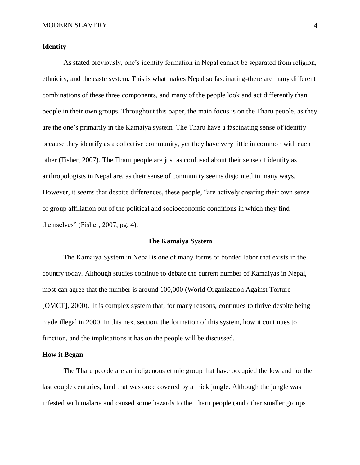# **Identity**

As stated previously, one's identity formation in Nepal cannot be separated from religion, ethnicity, and the caste system. This is what makes Nepal so fascinating-there are many different combinations of these three components, and many of the people look and act differently than people in their own groups. Throughout this paper, the main focus is on the Tharu people, as they are the one's primarily in the Kamaiya system. The Tharu have a fascinating sense of identity because they identify as a collective community, yet they have very little in common with each other (Fisher, 2007). The Tharu people are just as confused about their sense of identity as anthropologists in Nepal are, as their sense of community seems disjointed in many ways. However, it seems that despite differences, these people, "are actively creating their own sense of group affiliation out of the political and socioeconomic conditions in which they find themselves" (Fisher, 2007, pg. 4).

#### **The Kamaiya System**

The Kamaiya System in Nepal is one of many forms of bonded labor that exists in the country today. Although studies continue to debate the current number of Kamaiyas in Nepal, most can agree that the number is around 100,000 (World Organization Against Torture [OMCT], 2000). It is complex system that, for many reasons, continues to thrive despite being made illegal in 2000. In this next section, the formation of this system, how it continues to function, and the implications it has on the people will be discussed.

#### **How it Began**

The Tharu people are an indigenous ethnic group that have occupied the lowland for the last couple centuries, land that was once covered by a thick jungle. Although the jungle was infested with malaria and caused some hazards to the Tharu people (and other smaller groups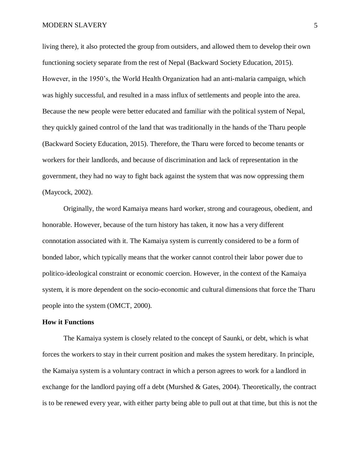living there), it also protected the group from outsiders, and allowed them to develop their own functioning society separate from the rest of Nepal (Backward Society Education, 2015). However, in the 1950's, the World Health Organization had an anti-malaria campaign, which was highly successful, and resulted in a mass influx of settlements and people into the area. Because the new people were better educated and familiar with the political system of Nepal, they quickly gained control of the land that was traditionally in the hands of the Tharu people (Backward Society Education, 2015). Therefore, the Tharu were forced to become tenants or workers for their landlords, and because of discrimination and lack of representation in the government, they had no way to fight back against the system that was now oppressing them (Maycock, 2002).

Originally, the word Kamaiya means hard worker, strong and courageous, obedient, and honorable. However, because of the turn history has taken, it now has a very different connotation associated with it. The Kamaiya system is currently considered to be a form of bonded labor, which typically means that the worker cannot control their labor power due to politico-ideological constraint or economic coercion. However, in the context of the Kamaiya system, it is more dependent on the socio-economic and cultural dimensions that force the Tharu people into the system (OMCT, 2000).

### **How it Functions**

The Kamaiya system is closely related to the concept of Saunki, or debt, which is what forces the workers to stay in their current position and makes the system hereditary. In principle, the Kamaiya system is a voluntary contract in which a person agrees to work for a landlord in exchange for the landlord paying off a debt (Murshed & Gates, 2004). Theoretically, the contract is to be renewed every year, with either party being able to pull out at that time, but this is not the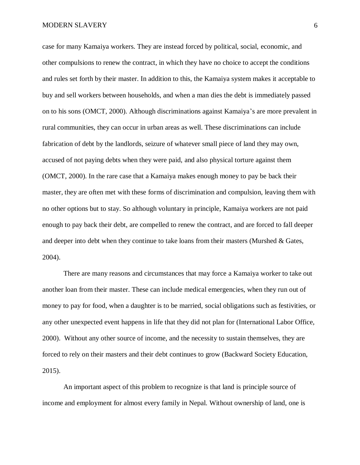case for many Kamaiya workers. They are instead forced by political, social, economic, and other compulsions to renew the contract, in which they have no choice to accept the conditions and rules set forth by their master. In addition to this, the Kamaiya system makes it acceptable to buy and sell workers between households, and when a man dies the debt is immediately passed on to his sons (OMCT, 2000). Although discriminations against Kamaiya's are more prevalent in rural communities, they can occur in urban areas as well. These discriminations can include fabrication of debt by the landlords, seizure of whatever small piece of land they may own, accused of not paying debts when they were paid, and also physical torture against them (OMCT, 2000). In the rare case that a Kamaiya makes enough money to pay be back their master, they are often met with these forms of discrimination and compulsion, leaving them with no other options but to stay. So although voluntary in principle, Kamaiya workers are not paid enough to pay back their debt, are compelled to renew the contract, and are forced to fall deeper and deeper into debt when they continue to take loans from their masters (Murshed & Gates, 2004).

There are many reasons and circumstances that may force a Kamaiya worker to take out another loan from their master. These can include medical emergencies, when they run out of money to pay for food, when a daughter is to be married, social obligations such as festivities, or any other unexpected event happens in life that they did not plan for (International Labor Office, 2000). Without any other source of income, and the necessity to sustain themselves, they are forced to rely on their masters and their debt continues to grow (Backward Society Education, 2015).

An important aspect of this problem to recognize is that land is principle source of income and employment for almost every family in Nepal. Without ownership of land, one is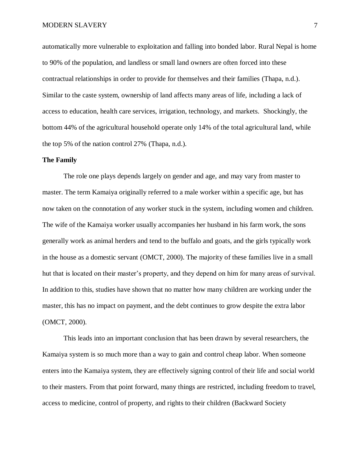automatically more vulnerable to exploitation and falling into bonded labor. Rural Nepal is home to 90% of the population, and landless or small land owners are often forced into these contractual relationships in order to provide for themselves and their families (Thapa, n.d.). Similar to the caste system, ownership of land affects many areas of life, including a lack of access to education, health care services, irrigation, technology, and markets. Shockingly, the bottom 44% of the agricultural household operate only 14% of the total agricultural land, while the top 5% of the nation control 27% (Thapa, n.d.).

#### **The Family**

The role one plays depends largely on gender and age, and may vary from master to master. The term Kamaiya originally referred to a male worker within a specific age, but has now taken on the connotation of any worker stuck in the system, including women and children. The wife of the Kamaiya worker usually accompanies her husband in his farm work, the sons generally work as animal herders and tend to the buffalo and goats, and the girls typically work in the house as a domestic servant (OMCT, 2000). The majority of these families live in a small hut that is located on their master's property, and they depend on him for many areas of survival. In addition to this, studies have shown that no matter how many children are working under the master, this has no impact on payment, and the debt continues to grow despite the extra labor (OMCT, 2000).

This leads into an important conclusion that has been drawn by several researchers, the Kamaiya system is so much more than a way to gain and control cheap labor. When someone enters into the Kamaiya system, they are effectively signing control of their life and social world to their masters. From that point forward, many things are restricted, including freedom to travel, access to medicine, control of property, and rights to their children (Backward Society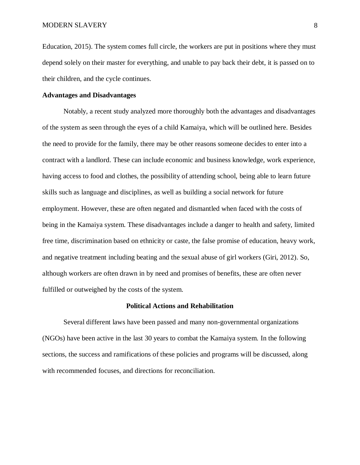Education, 2015). The system comes full circle, the workers are put in positions where they must depend solely on their master for everything, and unable to pay back their debt, it is passed on to their children, and the cycle continues.

# **Advantages and Disadvantages**

Notably, a recent study analyzed more thoroughly both the advantages and disadvantages of the system as seen through the eyes of a child Kamaiya, which will be outlined here. Besides the need to provide for the family, there may be other reasons someone decides to enter into a contract with a landlord. These can include economic and business knowledge, work experience, having access to food and clothes, the possibility of attending school, being able to learn future skills such as language and disciplines, as well as building a social network for future employment. However, these are often negated and dismantled when faced with the costs of being in the Kamaiya system. These disadvantages include a danger to health and safety, limited free time, discrimination based on ethnicity or caste, the false promise of education, heavy work, and negative treatment including beating and the sexual abuse of girl workers (Giri, 2012). So, although workers are often drawn in by need and promises of benefits, these are often never fulfilled or outweighed by the costs of the system.

#### **Political Actions and Rehabilitation**

Several different laws have been passed and many non-governmental organizations (NGOs) have been active in the last 30 years to combat the Kamaiya system. In the following sections, the success and ramifications of these policies and programs will be discussed, along with recommended focuses, and directions for reconciliation.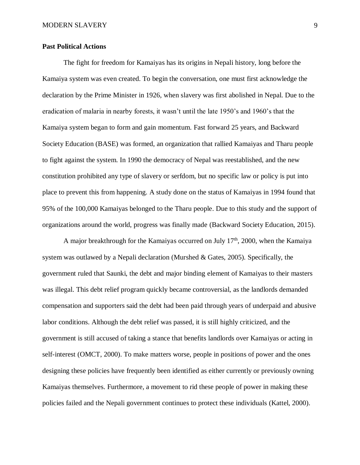# **Past Political Actions**

The fight for freedom for Kamaiyas has its origins in Nepali history, long before the Kamaiya system was even created. To begin the conversation, one must first acknowledge the declaration by the Prime Minister in 1926, when slavery was first abolished in Nepal. Due to the eradication of malaria in nearby forests, it wasn't until the late 1950's and 1960's that the Kamaiya system began to form and gain momentum. Fast forward 25 years, and Backward Society Education (BASE) was formed, an organization that rallied Kamaiyas and Tharu people to fight against the system. In 1990 the democracy of Nepal was reestablished, and the new constitution prohibited any type of slavery or serfdom, but no specific law or policy is put into place to prevent this from happening. A study done on the status of Kamaiyas in 1994 found that 95% of the 100,000 Kamaiyas belonged to the Tharu people. Due to this study and the support of organizations around the world, progress was finally made (Backward Society Education, 2015).

A major breakthrough for the Kamaiyas occurred on July  $17<sup>th</sup>$ , 2000, when the Kamaiya system was outlawed by a Nepali declaration (Murshed & Gates, 2005). Specifically, the government ruled that Saunki, the debt and major binding element of Kamaiyas to their masters was illegal. This debt relief program quickly became controversial, as the landlords demanded compensation and supporters said the debt had been paid through years of underpaid and abusive labor conditions. Although the debt relief was passed, it is still highly criticized, and the government is still accused of taking a stance that benefits landlords over Kamaiyas or acting in self-interest (OMCT, 2000). To make matters worse, people in positions of power and the ones designing these policies have frequently been identified as either currently or previously owning Kamaiyas themselves. Furthermore, a movement to rid these people of power in making these policies failed and the Nepali government continues to protect these individuals (Kattel, 2000).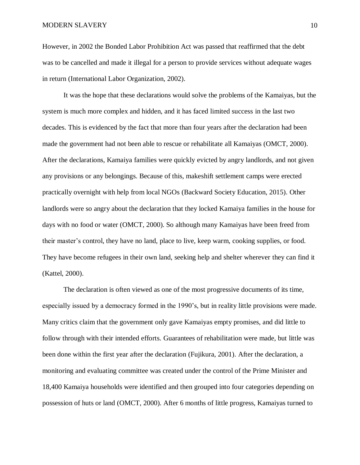However, in 2002 the Bonded Labor Prohibition Act was passed that reaffirmed that the debt was to be cancelled and made it illegal for a person to provide services without adequate wages in return (International Labor Organization, 2002).

It was the hope that these declarations would solve the problems of the Kamaiyas, but the system is much more complex and hidden, and it has faced limited success in the last two decades. This is evidenced by the fact that more than four years after the declaration had been made the government had not been able to rescue or rehabilitate all Kamaiyas (OMCT, 2000). After the declarations, Kamaiya families were quickly evicted by angry landlords, and not given any provisions or any belongings. Because of this, makeshift settlement camps were erected practically overnight with help from local NGOs (Backward Society Education, 2015). Other landlords were so angry about the declaration that they locked Kamaiya families in the house for days with no food or water (OMCT, 2000). So although many Kamaiyas have been freed from their master's control, they have no land, place to live, keep warm, cooking supplies, or food. They have become refugees in their own land, seeking help and shelter wherever they can find it (Kattel, 2000).

The declaration is often viewed as one of the most progressive documents of its time, especially issued by a democracy formed in the 1990's, but in reality little provisions were made. Many critics claim that the government only gave Kamaiyas empty promises, and did little to follow through with their intended efforts. Guarantees of rehabilitation were made, but little was been done within the first year after the declaration (Fujikura, 2001). After the declaration, a monitoring and evaluating committee was created under the control of the Prime Minister and 18,400 Kamaiya households were identified and then grouped into four categories depending on possession of huts or land (OMCT, 2000). After 6 months of little progress, Kamaiyas turned to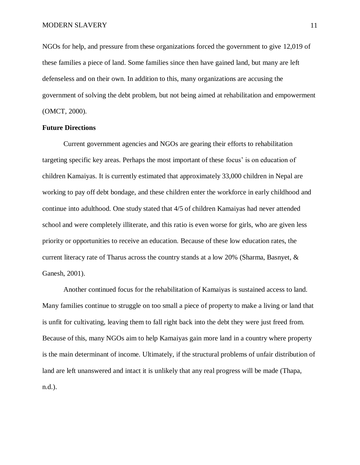NGOs for help, and pressure from these organizations forced the government to give 12,019 of these families a piece of land. Some families since then have gained land, but many are left defenseless and on their own. In addition to this, many organizations are accusing the government of solving the debt problem, but not being aimed at rehabilitation and empowerment (OMCT, 2000).

### **Future Directions**

Current government agencies and NGOs are gearing their efforts to rehabilitation targeting specific key areas. Perhaps the most important of these focus' is on education of children Kamaiyas. It is currently estimated that approximately 33,000 children in Nepal are working to pay off debt bondage, and these children enter the workforce in early childhood and continue into adulthood. One study stated that 4/5 of children Kamaiyas had never attended school and were completely illiterate, and this ratio is even worse for girls, who are given less priority or opportunities to receive an education. Because of these low education rates, the current literacy rate of Tharus across the country stands at a low 20% (Sharma, Basnyet,  $\&$ Ganesh, 2001).

Another continued focus for the rehabilitation of Kamaiyas is sustained access to land. Many families continue to struggle on too small a piece of property to make a living or land that is unfit for cultivating, leaving them to fall right back into the debt they were just freed from. Because of this, many NGOs aim to help Kamaiyas gain more land in a country where property is the main determinant of income. Ultimately, if the structural problems of unfair distribution of land are left unanswered and intact it is unlikely that any real progress will be made (Thapa, n.d.).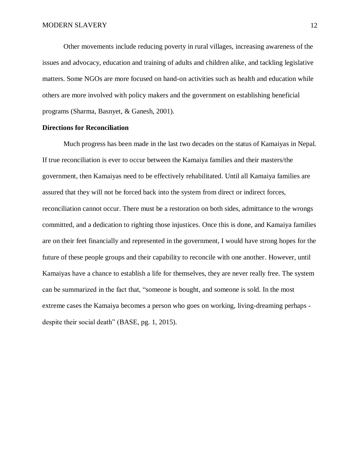Other movements include reducing poverty in rural villages, increasing awareness of the issues and advocacy, education and training of adults and children alike, and tackling legislative matters. Some NGOs are more focused on hand-on activities such as health and education while others are more involved with policy makers and the government on establishing beneficial programs (Sharma, Basnyet, & Ganesh, 2001).

#### **Directions for Reconciliation**

Much progress has been made in the last two decades on the status of Kamaiyas in Nepal. If true reconciliation is ever to occur between the Kamaiya families and their masters/the government, then Kamaiyas need to be effectively rehabilitated. Until all Kamaiya families are assured that they will not be forced back into the system from direct or indirect forces, reconciliation cannot occur. There must be a restoration on both sides, admittance to the wrongs committed, and a dedication to righting those injustices. Once this is done, and Kamaiya families are on their feet financially and represented in the government, I would have strong hopes for the future of these people groups and their capability to reconcile with one another. However, until Kamaiyas have a chance to establish a life for themselves, they are never really free. The system can be summarized in the fact that, "someone is bought, and someone is sold. In the most extreme cases the Kamaiya becomes a person who goes on working, living-dreaming perhaps despite their social death" (BASE, pg. 1, 2015).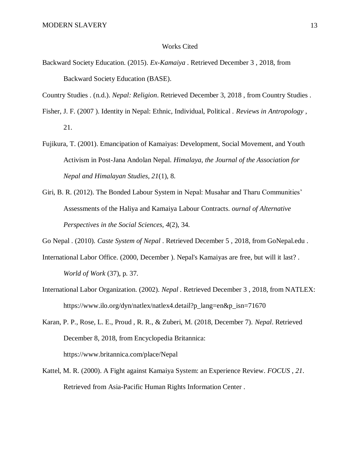#### Works Cited

Backward Society Education. (2015). *Ex-Kamaiya* . Retrieved December 3 , 2018, from Backward Society Education (BASE).

Country Studies . (n.d.). *Nepal: Religion*. Retrieved December 3, 2018 , from Country Studies .

- Fisher, J. F. (2007 ). Identity in Nepal: Ethnic, Individual, Political . *Reviews in Antropology* , 21.
- Fujikura, T. (2001). Emancipation of Kamaiyas: Development, Social Movement, and Youth Activism in Post-Jana Andolan Nepal. *Himalaya, the Journal of the Association for Nepal and Himalayan Studies, 21*(1), 8.
- Giri, B. R. (2012). The Bonded Labour System in Nepal: Musahar and Tharu Communities' Assessments of the Haliya and Kamaiya Labour Contracts. *ournal of Alternative Perspectives in the Social Sciences, 4*(2), 34.

Go Nepal . (2010). *Caste System of Nepal* . Retrieved December 5 , 2018, from GoNepal.edu .

- International Labor Office. (2000, December ). Nepal's Kamaiyas are free, but will it last? . *World of Work* (37), p. 37.
- International Labor Organization. (2002). *Nepal .* Retrieved December 3 , 2018, from NATLEX: https://www.ilo.org/dyn/natlex/natlex4.detail?p\_lang=en&p\_isn=71670
- Karan, P. P., Rose, L. E., Proud , R. R., & Zuberi, M. (2018, December 7). *Nepal*. Retrieved December 8, 2018, from Encyclopedia Britannica: https://www.britannica.com/place/Nepal
- Kattel, M. R. (2000). A Fight against Kamaiya System: an Experience Review. *FOCUS , 21*. Retrieved from Asia-Pacific Human Rights Information Center .